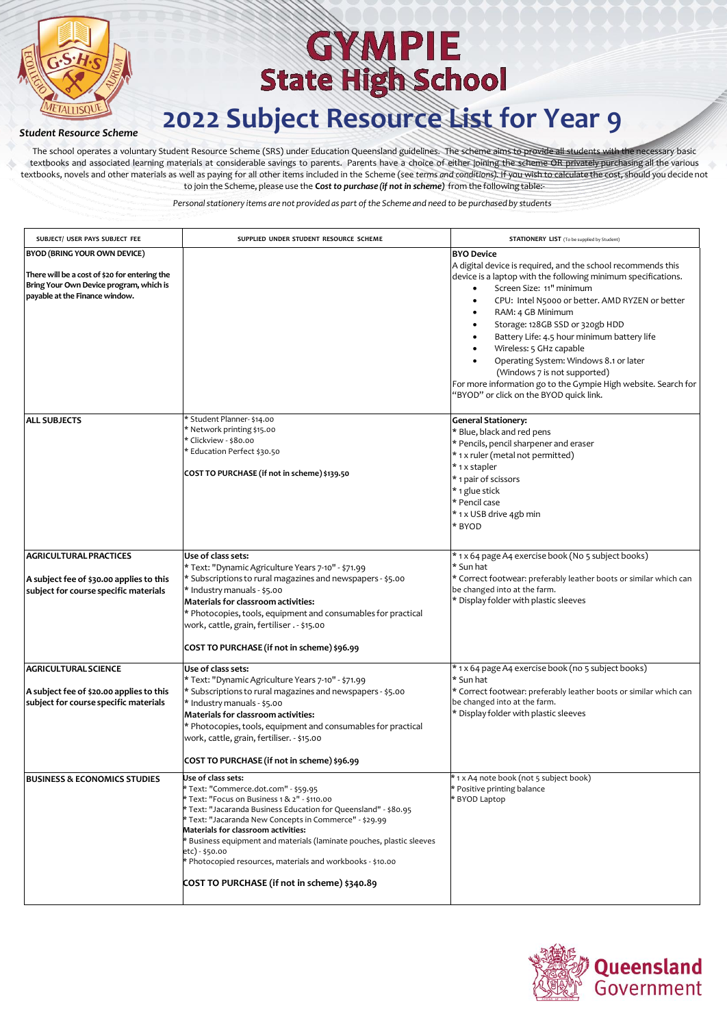

#### *Student Resource Scheme*

The school operates a voluntary Student Resource Scheme (SRS) under Education Queensland guidelines. The scheme aims to provide all students with the necessary basic textbooks and associated learning materials at considerable savings to parents. Parents have a choice of either joining the scheme OR privately purchasing all the various textbooks, novels and other materials as well as paying for all other items included in the Scheme (see *terms and conditions)*. If you wish to calculate the cost, should you decide not to join the Scheme, please use the **C***ostto purchase (if not in scheme)* from the following table:-

| SUBJECT/ USER PAYS SUBJECT FEE                                                                                                                                    | SUPPLIED UNDER STUDENT RESOURCE SCHEME                                                                                                                                                                                                                                                                                                                                                                                                                                                | <b>STATIONERY LIST</b> (To be supplied by Student)                                                                                                                                                                                                                                                                                                                                                                                                                                                                                                                                                |
|-------------------------------------------------------------------------------------------------------------------------------------------------------------------|---------------------------------------------------------------------------------------------------------------------------------------------------------------------------------------------------------------------------------------------------------------------------------------------------------------------------------------------------------------------------------------------------------------------------------------------------------------------------------------|---------------------------------------------------------------------------------------------------------------------------------------------------------------------------------------------------------------------------------------------------------------------------------------------------------------------------------------------------------------------------------------------------------------------------------------------------------------------------------------------------------------------------------------------------------------------------------------------------|
| <b>BYOD (BRING YOUR OWN DEVICE)</b><br>There will be a cost of \$20 for entering the<br>Bring Your Own Device program, which is<br>payable at the Finance window. |                                                                                                                                                                                                                                                                                                                                                                                                                                                                                       | <b>BYO Device</b><br>A digital device is required, and the school recommends this<br>device is a laptop with the following minimum specifications.<br>Screen Size: 11" minimum<br>$\bullet$<br>CPU: Intel N5000 or better. AMD RYZEN or better<br>$\bullet$<br>RAM: 4 GB Minimum<br>$\bullet$<br>Storage: 128GB SSD or 320gb HDD<br>Battery Life: 4.5 hour minimum battery life<br>Wireless: 5 GHz capable<br>Operating System: Windows 8.1 or later<br>(Windows 7 is not supported)<br>For more information go to the Gympie High website. Search for<br>"BYOD" or click on the BYOD quick link. |
| <b>ALL SUBJECTS</b>                                                                                                                                               | * Student Planner- \$14.00<br>* Network printing \$15.00<br>* Clickview - \$80.00<br>* Education Perfect \$30.50<br>COST TO PURCHASE (if not in scheme) \$139.50                                                                                                                                                                                                                                                                                                                      | <b>General Stationery:</b><br>* Blue, black and red pens<br>* Pencils, pencil sharpener and eraser<br>* 1 x ruler (metal not permitted)<br>* 1 x stapler<br>* 1 pair of scissors<br>* 1 glue stick<br>* Pencil case<br>* 1 x USB drive 4gb min<br>* BYOD                                                                                                                                                                                                                                                                                                                                          |
| <b>AGRICULTURAL PRACTICES</b><br>A subject fee of \$30.00 applies to this<br>subject for course specific materials                                                | Use of class sets:<br>* Text: "Dynamic Agriculture Years 7-10" - \$71.99<br>* Subscriptions to rural magazines and newspapers - \$5.00<br>* Industry manuals - \$5.00<br>Materials for classroom activities:<br>* Photocopies, tools, equipment and consumables for practical<br>work, cattle, grain, fertiliser . - \$15.00<br>COST TO PURCHASE (if not in scheme) \$96.99                                                                                                           | * 1 x 64 page A4 exercise book (No 5 subject books)<br>* Sun hat<br>* Correct footwear: preferably leather boots or similar which can<br>be changed into at the farm.<br>* Display folder with plastic sleeves                                                                                                                                                                                                                                                                                                                                                                                    |
| <b>AGRICULTURAL SCIENCE</b><br>A subject fee of \$20.00 applies to this<br>subject for course specific materials                                                  | Use of class sets:<br>* Text: "Dynamic Agriculture Years 7-10" - \$71.99<br>* Subscriptions to rural magazines and newspapers - \$5.00<br>* Industry manuals - \$5.00<br>Materials for classroom activities:<br>* Photocopies, tools, equipment and consumables for practical<br>work, cattle, grain, fertiliser. - \$15.00<br>COST TO PURCHASE (if not in scheme) \$96.99                                                                                                            | * 1 x 64 page A4 exercise book (no 5 subject books)<br>* Sun hat<br>* Correct footwear: preferably leather boots or similar which can<br>be changed into at the farm.<br>* Display folder with plastic sleeves                                                                                                                                                                                                                                                                                                                                                                                    |
| <b>BUSINESS &amp; ECONOMICS STUDIES</b>                                                                                                                           | Use of class sets:<br>* Text: "Commerce.dot.com" - \$59.95<br>* Text: "Focus on Business 1 & 2" - \$110.00<br>* Text: "Jacaranda Business Education for Queensland" - \$80.95<br>* Text: "Jacaranda New Concepts in Commerce" - \$29.99<br>Materials for classroom activities:<br>Business equipment and materials (laminate pouches, plastic sleeves<br>etc) - \$50.00<br>* Photocopied resources, materials and workbooks - \$10.00<br>COST TO PURCHASE (if not in scheme) \$340.89 | * 1 x A4 note book (not 5 subject book)<br>* Positive printing balance<br>* BYOD Laptop                                                                                                                                                                                                                                                                                                                                                                                                                                                                                                           |

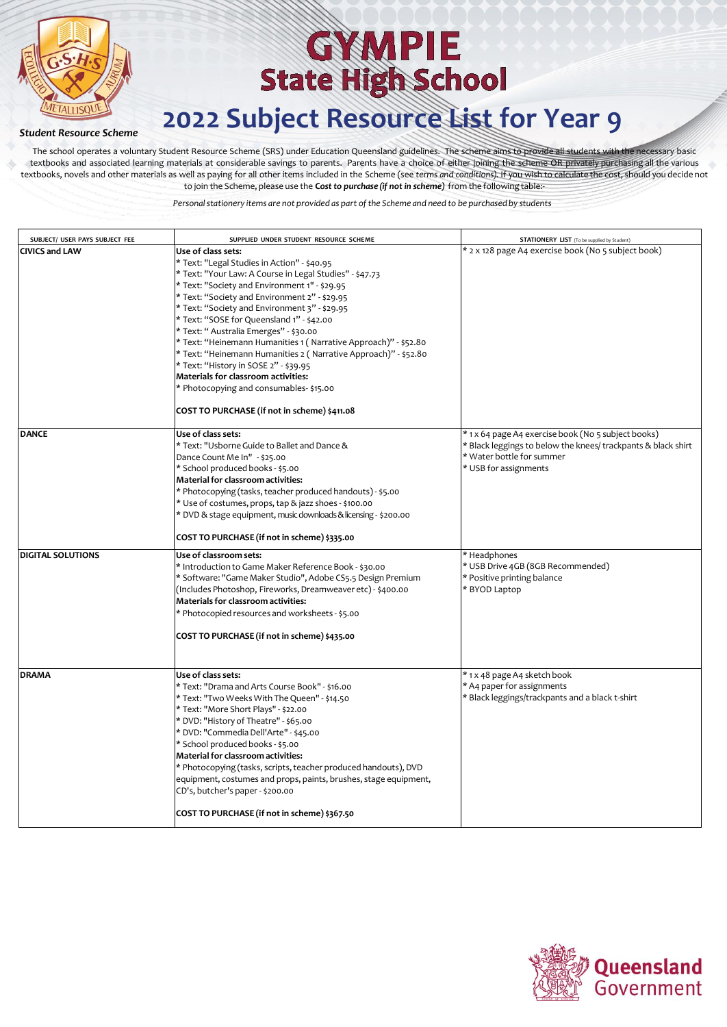

### *Student Resource Scheme*

The school operates a voluntary Student Resource Scheme (SRS) under Education Queensland guidelines. The scheme aims to provide all students with the necessary basic textbooks and associated learning materials at considerable savings to parents. Parents have a choice of either joining the scheme OR privately purchasing all the various textbooks, novels and other materials as well as paying for all other items included in the Scheme (see *terms and conditions)*. If you wish to calculate the cost, should you decide not to join the Scheme, please use the **C***ostto purchase (if not in scheme)* from the following table:-

| SUBJECT/ USER PAYS SUBJECT FEE | SUPPLIED UNDER STUDENT RESOURCE SCHEME                                                                                                                                                                                                                                                                                                                                                                                                                                                                                                                                                                                                                                                    | <b>STATIONERY LIST</b> (To be supplied by Student)                                                                                                                         |
|--------------------------------|-------------------------------------------------------------------------------------------------------------------------------------------------------------------------------------------------------------------------------------------------------------------------------------------------------------------------------------------------------------------------------------------------------------------------------------------------------------------------------------------------------------------------------------------------------------------------------------------------------------------------------------------------------------------------------------------|----------------------------------------------------------------------------------------------------------------------------------------------------------------------------|
| <b>CIVICS and LAW</b>          | Use of class sets:<br>* Text: "Legal Studies in Action" - \$40.95<br>* Text: "Your Law: A Course in Legal Studies" - \$47.73<br>* Text: "Society and Environment 1" - \$29.95<br>* Text: "Society and Environment 2" - \$29.95<br>* Text: "Society and Environment 3" - \$29.95<br>* Text: "SOSE for Queensland 1" - \$42.00<br>* Text: " Australia Emerges" - \$30.00<br>* Text: "Heinemann Humanities 1 ( Narrative Approach)" - \$52.80<br>* Text: "Heinemann Humanities 2 ( Narrative Approach)" - \$52.80<br>* Text: "History in SOSE 2" - \$39.95<br>Materials for classroom activities:<br>* Photocopying and consumables- \$15.00<br>COST TO PURCHASE (if not in scheme) \$411.08 | * 2 x 128 page A4 exercise book (No 5 subject book)                                                                                                                        |
| <b>DANCE</b>                   | Use of class sets:<br>* Text: "Usborne Guide to Ballet and Dance &<br>Dance Count Me In" - \$25.00<br>* School produced books - \$5.00<br>Material for classroom activities:<br>* Photocopying (tasks, teacher produced handouts) - \$5.00<br>* Use of costumes, props, tap & jazz shoes - \$100.00<br>* DVD & stage equipment, music downloads & licensing - \$200.00<br>COST TO PURCHASE (if not in scheme) \$335.00                                                                                                                                                                                                                                                                    | * 1 x 64 page A4 exercise book (No 5 subject books)<br>* Black leggings to below the knees/ trackpants & black shirt<br>* Water bottle for summer<br>* USB for assignments |
| <b>DIGITAL SOLUTIONS</b>       | Use of classroom sets:<br>* Introduction to Game Maker Reference Book - \$30.00<br>* Software: "Game Maker Studio", Adobe CS5.5 Design Premium<br>(Includes Photoshop, Fireworks, Dreamweaver etc) - \$400.00<br>Materials for classroom activities:<br>* Photocopied resources and worksheets - \$5.00<br>COST TO PURCHASE (if not in scheme) \$435.00                                                                                                                                                                                                                                                                                                                                   | * Headphones<br>* USB Drive 4GB (8GB Recommended)<br>* Positive printing balance<br>* BYOD Laptop                                                                          |
| <b>DRAMA</b>                   | Use of class sets:<br>* Text: "Drama and Arts Course Book" - \$16.00<br>* Text: "Two Weeks With The Queen" - \$14.50<br>* Text: "More Short Plays" - \$22.00<br>* DVD: "History of Theatre" - \$65.00<br>* DVD: "Commedia Dell'Arte" - \$45.00<br>* School produced books - \$5.00<br>Material for classroom activities:<br>* Photocopying (tasks, scripts, teacher produced handouts), DVD<br>equipment, costumes and props, paints, brushes, stage equipment,<br>CD's, butcher's paper - \$200.00<br>COST TO PURCHASE (if not in scheme) \$367.50                                                                                                                                       | * 1 x 48 page A4 sketch book<br>* A4 paper for assignments<br>* Black leggings/trackpants and a black t-shirt                                                              |

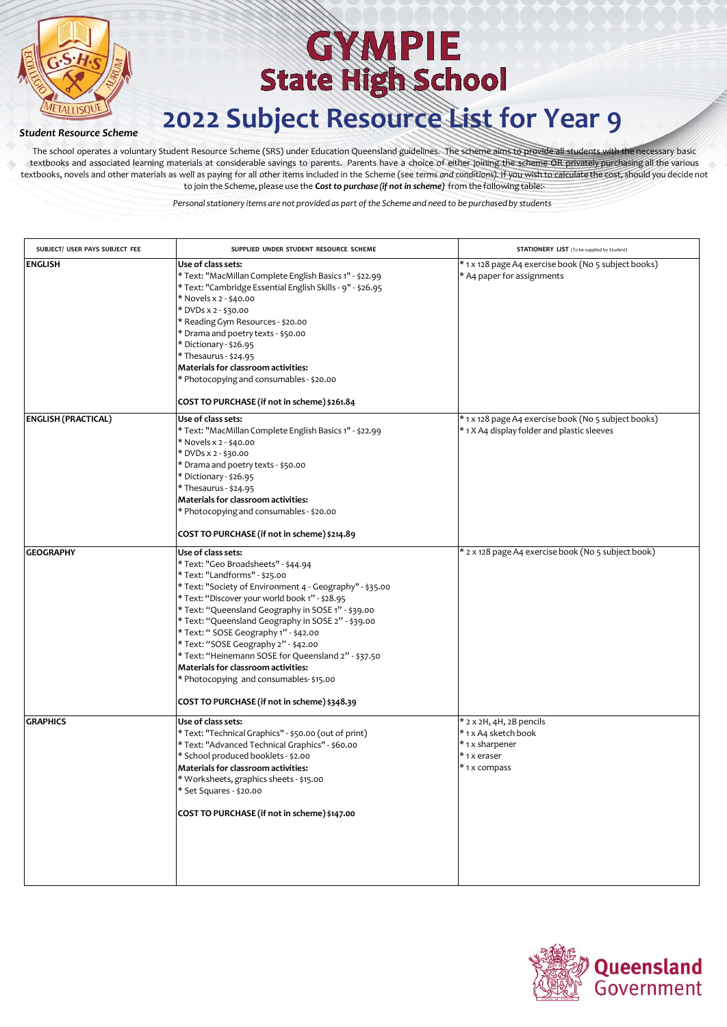

### *Student Resource Scheme*

The school operates a voluntary Student Resource Scheme (SRS) under Education Queensland guidelines. The scheme aims to provide all students with the necessary basic textbooks and associated learning materials at considerable savings to parents. Parents have a choice of either joining the scheme OR privately purchasing all the various textbooks, novels and other materials as well as paying for all other items included in the Scheme (see *terms and conditions)*. If you wish to calculate the cost, should you decide not to join the Scheme, please use the **C***ostto purchase (if not in scheme)* from the following table:-

| SUBJECT/ USER PAYS SUBJECT FEE | SUPPLIED UNDER STUDENT RESOURCE SCHEME                                                                                                                                                                                                                                                                                                                                                                                                                                                                                                                                                        | <b>STATIONERY LIST</b> (To be supplied by Student)                                                  |
|--------------------------------|-----------------------------------------------------------------------------------------------------------------------------------------------------------------------------------------------------------------------------------------------------------------------------------------------------------------------------------------------------------------------------------------------------------------------------------------------------------------------------------------------------------------------------------------------------------------------------------------------|-----------------------------------------------------------------------------------------------------|
| <b>ENGLISH</b>                 | Use of class sets:<br>* Text: "MacMillan Complete English Basics 1" - \$22.99<br>* Text: "Cambridge Essential English Skills - 9" - \$26.95<br>* Novels x 2 - \$40.00<br>* DVDs x 2 - \$30.00<br>* Reading Gym Resources - \$20.00<br>* Drama and poetry texts - \$50.00<br>* Dictionary - \$26.95<br>* Thesaurus - \$24.95<br>Materials for classroom activities:<br>* Photocopying and consumables - \$20.00<br>COST TO PURCHASE (if not in scheme) \$261.84                                                                                                                                | * 1 x 128 page A4 exercise book (No 5 subject books)<br>* A4 paper for assignments                  |
| <b>ENGLISH (PRACTICAL)</b>     | Use of class sets:<br>* Text: "MacMillan Complete English Basics 1" - \$22.99<br>* Novels x 2 - \$40.00<br>* DVDs x 2 - \$30.00<br>* Drama and poetry texts - \$50.00<br>* Dictionary - \$26.95<br>* Thesaurus - \$24.95<br>Materials for classroom activities:<br>* Photocopying and consumables - \$20.00<br>COST TO PURCHASE (if not in scheme) \$214.89                                                                                                                                                                                                                                   | * 1 x 128 page A4 exercise book (No 5 subject books)<br>* 1 X A4 display folder and plastic sleeves |
| <b>GEOGRAPHY</b>               | Use of class sets:<br>* Text: "Geo Broadsheets" - \$44.94<br>* Text: "Landforms" - \$25.00<br>* Text: "Society of Environment 4 - Geography" - \$35.00<br>* Text: "Discover your world book 1" - \$28.95<br>* Text: "Queensland Geography in SOSE 1" - \$39.00<br>* Text: "Queensland Geography in SOSE 2" - \$39.00<br>* Text: " SOSE Geography 1" - \$42.00<br>* Text: "SOSE Geography 2" - \$42.00<br>* Text: "Heinemann SOSE for Queensland 2" - \$37.50<br>Materials for classroom activities:<br>* Photocopying and consumables-\$15.00<br>COST TO PURCHASE (if not in scheme) \$348.39 | * 2 x 128 page A4 exercise book (No 5 subject book)                                                 |
| <b>GRAPHICS</b>                | Use of class sets:<br>* Text: "Technical Graphics" - \$50.00 (out of print)<br>* Text: "Advanced Technical Graphics" - \$60.00<br>* School produced booklets - \$2.00<br>Materials for classroom activities:<br>* Worksheets, graphics sheets - \$15.00<br>* Set Squares - \$20.00<br>COST TO PURCHASE (if not in scheme) \$147.00                                                                                                                                                                                                                                                            | * 2 x 2H, 4H, 2B pencils<br>* 1 x A4 sketch book<br>* 1 x sharpener<br>* 1 x eraser<br>*1x compass  |

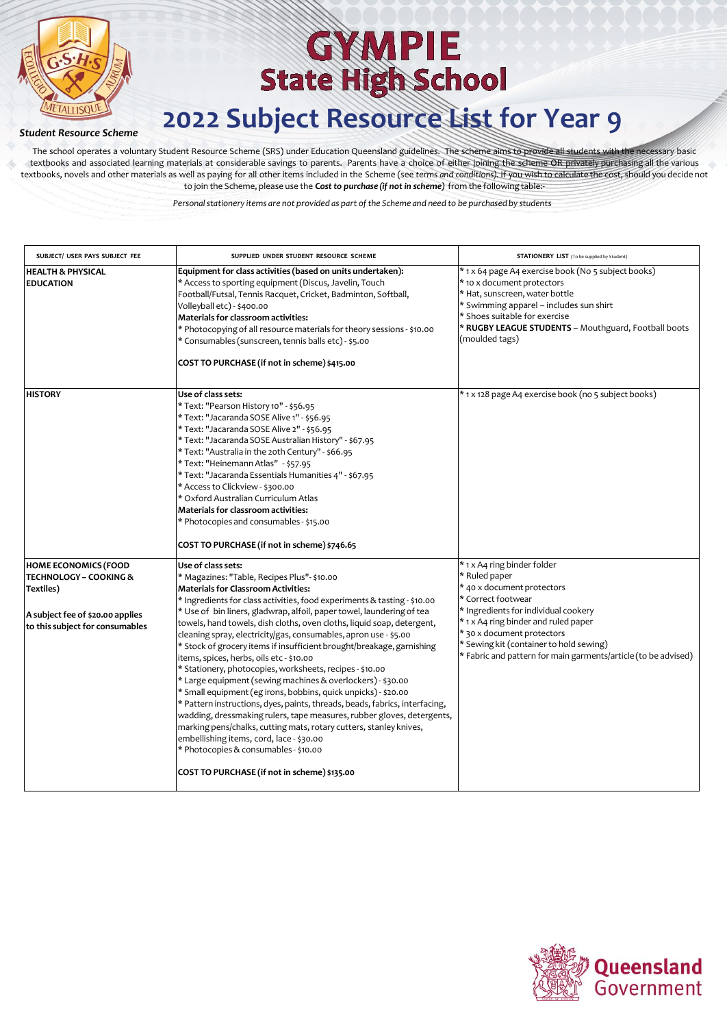

### *Student Resource Scheme*

The school operates a voluntary Student Resource Scheme (SRS) under Education Queensland guidelines. The scheme aims to provide all students with the necessary basic textbooks and associated learning materials at considerable savings to parents. Parents have a choice of either joining the scheme OR privately purchasing all the various textbooks, novels and other materials as well as paying for all other items included in the Scheme (see *terms and conditions)*. If you wish to calculate the cost, should you decide not to join the Scheme, please use the **C***ostto purchase (if not in scheme)* from the following table:-

| SUBJECT/ USER PAYS SUBJECT FEE                                                | SUPPLIED UNDER STUDENT RESOURCE SCHEME                                                                                                                                                                                                                                                                                                                                                                                                                                                                                                                                                                                                                                                                                                                                                                                                                                                                                                | <b>STATIONERY LIST</b> (To be supplied by Student)                                                                                                                                                                                                                        |
|-------------------------------------------------------------------------------|---------------------------------------------------------------------------------------------------------------------------------------------------------------------------------------------------------------------------------------------------------------------------------------------------------------------------------------------------------------------------------------------------------------------------------------------------------------------------------------------------------------------------------------------------------------------------------------------------------------------------------------------------------------------------------------------------------------------------------------------------------------------------------------------------------------------------------------------------------------------------------------------------------------------------------------|---------------------------------------------------------------------------------------------------------------------------------------------------------------------------------------------------------------------------------------------------------------------------|
| <b>HEALTH &amp; PHYSICAL</b><br><b>EDUCATION</b>                              | Equipment for class activities (based on units undertaken):<br>* Access to sporting equipment (Discus, Javelin, Touch<br>Football/Futsal, Tennis Racquet, Cricket, Badminton, Softball,<br>Volleyball etc) - \$400.00<br><b>Materials for classroom activities:</b><br>* Photocopying of all resource materials for theory sessions - \$10.00<br>* Consumables (sunscreen, tennis balls etc) - \$5.00<br>COST TO PURCHASE (if not in scheme) \$415.00                                                                                                                                                                                                                                                                                                                                                                                                                                                                                 | * 1 x 64 page A4 exercise book (No 5 subject books)<br>* 10 x document protectors<br>* Hat, sunscreen, water bottle<br>* Swimming apparel - includes sun shirt<br>* Shoes suitable for exercise<br>* RUGBY LEAGUE STUDENTS - Mouthguard, Football boots<br>(moulded tags) |
| <b>HISTORY</b>                                                                | Use of class sets:<br>* Text: "Pearson History 10" - \$56.95<br>* Text: "Jacaranda SOSE Alive 1" - \$56.95<br>* Text: "Jacaranda SOSE Alive 2" - \$56.95<br>* Text: "Jacaranda SOSE Australian History" - \$67.95<br>* Text: "Australia in the 20th Century" - \$66.95<br>* Text: "Heinemann Atlas" - \$57.95<br>* Text: "Jacaranda Essentials Humanities 4" - \$67.95<br>* Access to Clickview - \$300.00<br>* Oxford Australian Curriculum Atlas<br><b>Materials for classroom activities:</b><br>* Photocopies and consumables - \$15.00<br>COST TO PURCHASE (if not in scheme) \$746.65                                                                                                                                                                                                                                                                                                                                           | * 1 x 128 page A4 exercise book (no 5 subject books)                                                                                                                                                                                                                      |
| <b>HOME ECONOMICS (FOOD</b><br><b>TECHNOLOGY - COOKING &amp;</b><br>Textiles) | Use of class sets:<br>* Magazines: "Table, Recipes Plus"- \$10.00<br><b>Materials for Classroom Activities:</b>                                                                                                                                                                                                                                                                                                                                                                                                                                                                                                                                                                                                                                                                                                                                                                                                                       | * 1 x A4 ring binder folder<br>* Ruled paper<br>* 40 x document protectors                                                                                                                                                                                                |
| A subject fee of \$20.00 applies<br>to this subject for consumables           | * Ingredients for class activities, food experiments & tasting - \$10.00<br>* Use of bin liners, gladwrap, alfoil, paper towel, laundering of tea<br>towels, hand towels, dish cloths, oven cloths, liquid soap, detergent,<br>cleaning spray, electricity/gas, consumables, apron use - \$5.00<br>* Stock of grocery items if insufficient brought/breakage, garnishing<br>items, spices, herbs, oils etc - \$10.00<br>* Stationery, photocopies, worksheets, recipes - \$10.00<br>* Large equipment (sewing machines & overlockers) - \$30.00<br>* Small equipment (eg irons, bobbins, quick unpicks) - \$20.00<br>* Pattern instructions, dyes, paints, threads, beads, fabrics, interfacing,<br>wadding, dressmaking rulers, tape measures, rubber gloves, detergents,<br>marking pens/chalks, cutting mats, rotary cutters, stanley knives,<br>embellishing items, cord, lace - \$30.00<br>* Photocopies & consumables - \$10.00 | * Correct footwear<br>* Ingredients for individual cookery<br>* 1 x A4 ring binder and ruled paper<br>* 30 x document protectors<br>* Sewing kit (container to hold sewing)<br>* Fabric and pattern for main garments/article (to be advised)                             |
|                                                                               | COST TO PURCHASE (if not in scheme) \$135.00                                                                                                                                                                                                                                                                                                                                                                                                                                                                                                                                                                                                                                                                                                                                                                                                                                                                                          |                                                                                                                                                                                                                                                                           |

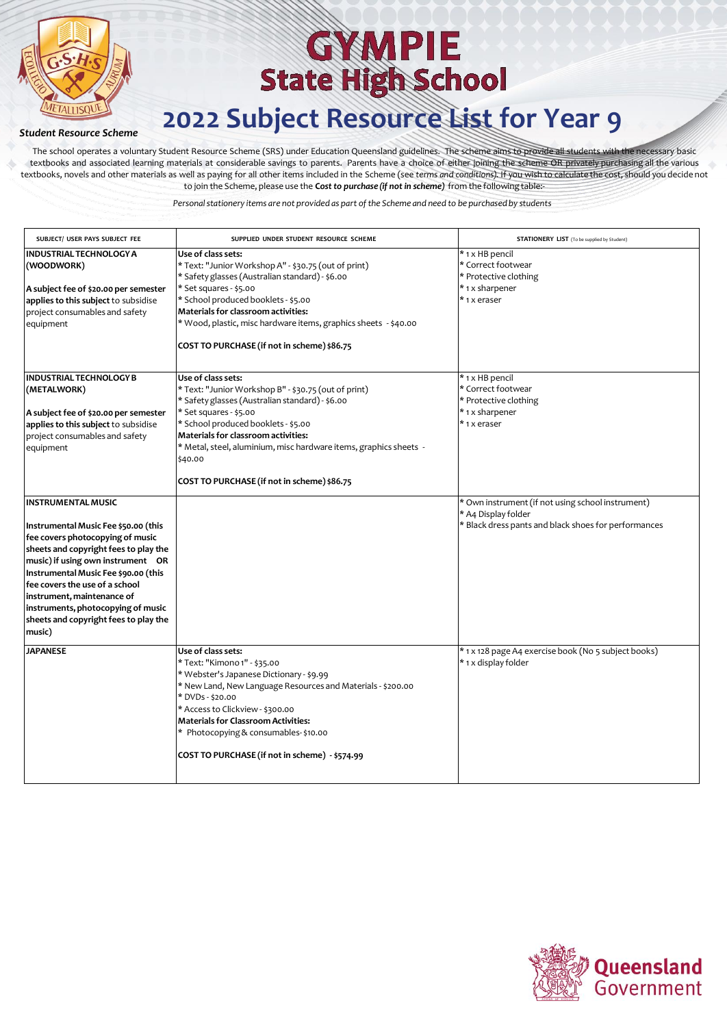

### *Student Resource Scheme*

The school operates a voluntary Student Resource Scheme (SRS) under Education Queensland guidelines. The scheme aims to provide all students with the necessary basic textbooks and associated learning materials at considerable savings to parents. Parents have a choice of either joining the scheme OR privately purchasing all the various textbooks, novels and other materials as well as paying for all other items included in the Scheme (see *terms and conditions)*. If you wish to calculate the cost, should you decide not to join the Scheme, please use the **C***ostto purchase (if not in scheme)* from the following table:-

| SUBJECT/ USER PAYS SUBJECT FEE                                                                                                                                                                                                                                                                                                                                                       | SUPPLIED UNDER STUDENT RESOURCE SCHEME                                                                                                                                                                                                                                                                                                                               | <b>STATIONERY LIST</b> (To be supplied by Student)                                                                               |
|--------------------------------------------------------------------------------------------------------------------------------------------------------------------------------------------------------------------------------------------------------------------------------------------------------------------------------------------------------------------------------------|----------------------------------------------------------------------------------------------------------------------------------------------------------------------------------------------------------------------------------------------------------------------------------------------------------------------------------------------------------------------|----------------------------------------------------------------------------------------------------------------------------------|
| <b>INDUSTRIAL TECHNOLOGY A</b><br>(WOODWORK)<br>A subject fee of \$20.00 per semester<br>applies to this subject to subsidise<br>project consumables and safety<br>equipment                                                                                                                                                                                                         | Use of class sets:<br>* Text: "Junior Workshop A" - \$30.75 (out of print)<br>* Safety glasses (Australian standard) - \$6.00<br>* Set squares - \$5.00<br>* School produced booklets - \$5.00<br>Materials for classroom activities:<br>* Wood, plastic, misc hardware items, graphics sheets - \$40.00<br>COST TO PURCHASE (if not in scheme) \$86.75              | * 1 x HB pencil<br>* Correct footwear<br>* Protective clothing<br>* 1 x sharpener<br>*1xeraser                                   |
| <b>INDUSTRIAL TECHNOLOGY B</b><br>(METALWORK)<br>A subject fee of \$20.00 per semester<br>applies to this subject to subsidise<br>project consumables and safety<br>equipment                                                                                                                                                                                                        | Use of class sets:<br>* Text: "Junior Workshop B" - \$30.75 (out of print)<br>* Safety glasses (Australian standard) - \$6.00<br>* Set squares - \$5.00<br>* School produced booklets - \$5.00<br>Materials for classroom activities:<br>* Metal, steel, aluminium, misc hardware items, graphics sheets -<br>\$40.00<br>COST TO PURCHASE (if not in scheme) \$86.75 | * 1 x HB pencil<br>* Correct footwear<br>* Protective clothing<br>* 1 x sharpener<br>*1xeraser                                   |
| <b>INSTRUMENTAL MUSIC</b><br>Instrumental Music Fee \$50.00 (this<br>fee covers photocopying of music<br>sheets and copyright fees to play the<br>music) if using own instrument OR<br>Instrumental Music Fee \$90.00 (this<br>fee covers the use of a school<br>instrument, maintenance of<br>instruments, photocopying of music<br>sheets and copyright fees to play the<br>music) |                                                                                                                                                                                                                                                                                                                                                                      | * Own instrument (if not using school instrument)<br>* A4 Display folder<br>* Black dress pants and black shoes for performances |
| <b>JAPANESE</b>                                                                                                                                                                                                                                                                                                                                                                      | Use of class sets:<br>* Text: "Kimono 1" - \$35.00<br>* Webster's Japanese Dictionary - \$9.99<br>* New Land, New Language Resources and Materials - \$200.00<br>* DVDs - \$20.00<br>* Access to Clickview - \$300.00<br><b>Materials for Classroom Activities:</b><br>* Photocopying & consumables-\$10.00<br>COST TO PURCHASE (if not in scheme) - \$574.99        | * 1 x 128 page A4 exercise book (No 5 subject books)<br>* 1 x display folder                                                     |

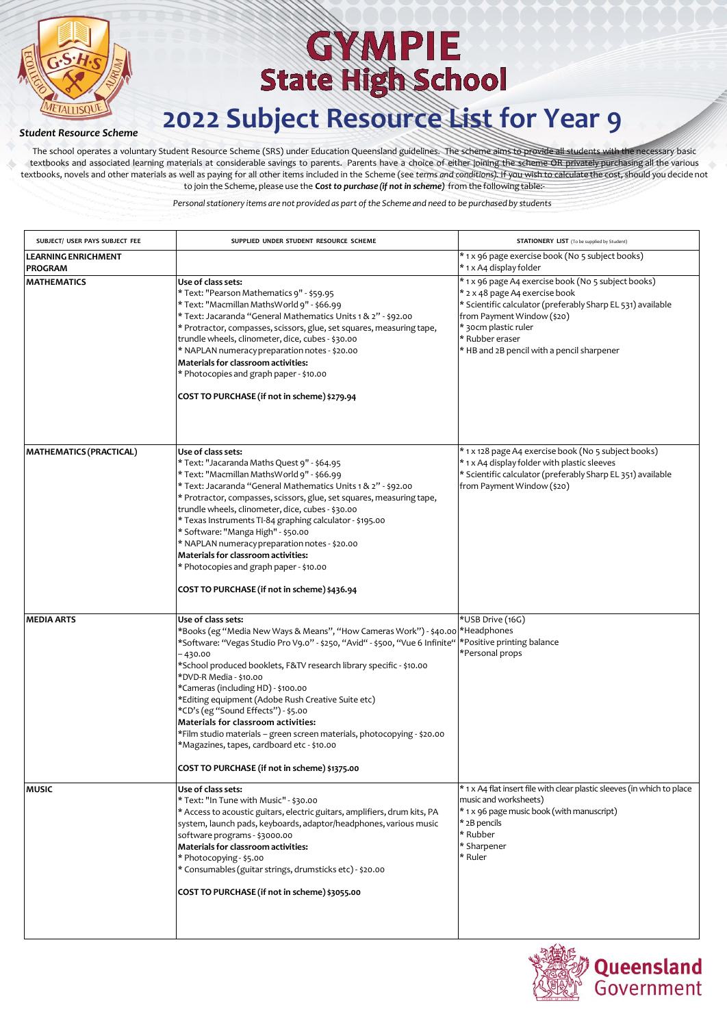

### *Student Resource Scheme*

The school operates a voluntary Student Resource Scheme (SRS) under Education Queensland guidelines. The scheme aims to provide all students with the necessary basic textbooks and associated learning materials at considerable savings to parents. Parents have a choice of either joining the scheme OR privately purchasing all the various textbooks, novels and other materials as well as paying for all other items included in the Scheme (see *terms and conditions)*. If you wish to calculate the cost, should you decide not to join the Scheme, please use the **C***ostto purchase (if not in scheme)* from the following table:-

| SUBJECT/ USER PAYS SUBJECT FEE               | SUPPLIED UNDER STUDENT RESOURCE SCHEME                                                                                                                                                                                                                                                                                                                                                                                                                                                                                                                                                                                                    | <b>STATIONERY LIST</b> (To be supplied by Student)                                                                                                                                                                                                                          |
|----------------------------------------------|-------------------------------------------------------------------------------------------------------------------------------------------------------------------------------------------------------------------------------------------------------------------------------------------------------------------------------------------------------------------------------------------------------------------------------------------------------------------------------------------------------------------------------------------------------------------------------------------------------------------------------------------|-----------------------------------------------------------------------------------------------------------------------------------------------------------------------------------------------------------------------------------------------------------------------------|
| <b>LEARNING ENRICHMENT</b><br><b>PROGRAM</b> |                                                                                                                                                                                                                                                                                                                                                                                                                                                                                                                                                                                                                                           | * 1 x 96 page exercise book (No 5 subject books)<br>* 1 x A4 display folder                                                                                                                                                                                                 |
| <b>MATHEMATICS</b>                           | Use of class sets:<br>* Text: "Pearson Mathematics 9" - \$59.95<br>* Text: "Macmillan MathsWorld 9" - \$66.99<br>* Text: Jacaranda "General Mathematics Units 1 & 2" - \$92.00<br>* Protractor, compasses, scissors, glue, set squares, measuring tape,<br>trundle wheels, clinometer, dice, cubes - \$30.00<br>* NAPLAN numeracy preparation notes - \$20.00<br>Materials for classroom activities:<br>* Photocopies and graph paper - \$10.00<br>COST TO PURCHASE (if not in scheme) \$279.94                                                                                                                                           | * 1 x 96 page A4 exercise book (No 5 subject books)<br>* 2 x 48 page A4 exercise book<br>* Scientific calculator (preferably Sharp EL 531) available<br>from Payment Window (\$20)<br>* 30cm plastic ruler<br>* Rubber eraser<br>* HB and 2B pencil with a pencil sharpener |
| <b>MATHEMATICS (PRACTICAL)</b>               | Use of class sets:<br>* Text: "Jacaranda Maths Quest 9" - \$64.95<br>* Text: "Macmillan MathsWorld 9" - \$66.99<br>* Text: Jacaranda "General Mathematics Units 1 & 2" - \$92.00<br>* Protractor, compasses, scissors, glue, set squares, measuring tape,<br>trundle wheels, clinometer, dice, cubes - \$30.00<br>* Texas Instruments TI-84 graphing calculator - \$195.00<br>* Software: "Manga High" - \$50.00<br>* NAPLAN numeracy preparation notes - \$20.00<br>Materials for classroom activities:<br>* Photocopies and graph paper - \$10.00<br>COST TO PURCHASE (if not in scheme) \$436.94                                       | * 1 x 128 page A4 exercise book (No 5 subject books)<br>* 1 x A4 display folder with plastic sleeves<br>* Scientific calculator (preferably Sharp EL 351) available<br>from Payment Window (\$20)                                                                           |
| <b>MEDIA ARTS</b>                            | Use of class sets:<br>*Books (eg "Media New Ways & Means", "How Cameras Work") - \$40.00<br>*Software: "Vegas Studio Pro V9.0" - \$250, "Avid" - \$500, "Vue 6 Infinite"<br>- 430.00<br>*School produced booklets, F&TV research library specific - \$10.00<br>*DVD-R Media - \$10.00<br>*Cameras (including HD) - \$100.00<br>*Editing equipment (Adobe Rush Creative Suite etc)<br>*CD's (eg "Sound Effects") - \$5.00<br>Materials for classroom activities:<br>*Film studio materials - green screen materials, photocopying - \$20.00<br>*Magazines, tapes, cardboard etc - \$10.00<br>COST TO PURCHASE (if not in scheme) \$1375.00 | *USB Drive (16G)<br>*Headphones<br>*Positive printing balance<br>*Personal props                                                                                                                                                                                            |
| <b>MUSIC</b>                                 | Use of class sets:<br>* Text: "In Tune with Music" - \$30.00<br>* Access to acoustic guitars, electric guitars, amplifiers, drum kits, PA<br>system, launch pads, keyboards, adaptor/headphones, various music<br>software programs - \$3000.00<br>Materials for classroom activities:<br>* Photocopying - \$5.00<br>* Consumables (guitar strings, drumsticks etc) - \$20.00<br>COST TO PURCHASE (if not in scheme) \$3055.00                                                                                                                                                                                                            | * 1 x A4 flat insert file with clear plastic sleeves (in which to place<br>music and worksheets)<br>* 1 x 96 page music book (with manuscript)<br>* 2B pencils<br>* Rubber<br>* Sharpener<br>* Ruler                                                                        |